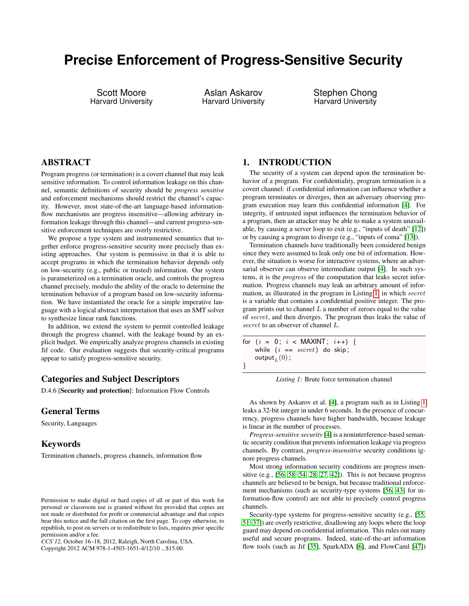# **Precise Enforcement of Progress-Sensitive Security**

Scott Moore Harvard University

Aslan Askarov Harvard University Stephen Chong Harvard University

# ABSTRACT

Program progress (or termination) is a covert channel that may leak sensitive information. To control information leakage on this channel, semantic definitions of security should be *progress sensitive* and enforcement mechanisms should restrict the channel's capacity. However, most state-of-the-art language-based informationflow mechanisms are progress insensitive—allowing arbitrary information leakage through this channel—and current progress-sensitive enforcement techniques are overly restrictive.

We propose a type system and instrumented semantics that together enforce progress-sensitive security more precisely than existing approaches. Our system is permissive in that it is able to accept programs in which the termination behavior depends only on low-security (e.g., public or trusted) information. Our system is parameterized on a termination oracle, and controls the progress channel precisely, modulo the ability of the oracle to determine the termination behavior of a program based on low-security information. We have instantiated the oracle for a simple imperative language with a logical abstract interpretation that uses an SMT solver to synthesize linear rank functions.

In addition, we extend the system to permit controlled leakage through the progress channel, with the leakage bound by an explicit budget. We empirically analyze progress channels in existing Jif code. Our evaluation suggests that security-critical programs appear to satisfy progress-sensitive security.

# Categories and Subject Descriptors

D.4.6 [Security and protection]: Information Flow Controls

## General Terms

Security, Languages

# Keywords

Termination channels, progress channels, information flow

*CCS'12,* October 16–18, 2012, Raleigh, North Carolina, USA.

Copyright 2012 ACM 978-1-4503-1651-4/12/10 ...\$15.00.

## 1. INTRODUCTION

The security of a system can depend upon the termination behavior of a program. For confidentiality, program termination is a covert channel: if confidential information can influence whether a program terminates or diverges, then an adversary observing program execution may learn this confidential information [\[4\]](#page-10-0). For integrity, if untrusted input influences the termination behavior of a program, then an attacker may be able to make a system unavailable, by causing a server loop to exit (e.g., "inputs of death" [\[12\]](#page-11-0)) or by causing a program to diverge (e.g., "inputs of coma" [\[13\]](#page-11-1)).

Termination channels have traditionally been considered benign since they were assumed to leak only one bit of information. However, the situation is worse for interactive systems, where an adversarial observer can observe intermediate output [\[4\]](#page-10-0). In such systems, it is the *progress* of the computation that leaks secret information. Progress channels may leak an arbitrary amount of information, as illustrated in the program in Listing [1,](#page-0-0) in which secret is a variable that contains a confidential positive integer. The program prints out to channel  $L$  a number of zeroes equal to the value of secret, and then diverges. The program thus leaks the value of secret to an observer of channel L.

<span id="page-0-0"></span>for  $(i = 0; i < \text{MAXINT}; i++)$  { while  $(i == secret)$  do skip; output $_L(0)$ ; }

*Listing 1:* Brute force termination channel

As shown by Askarov et al. [\[4\]](#page-10-0), a program such as in Listing [1](#page-0-0) leaks a 32-bit integer in under 6 seconds. In the presence of concurrency, progress channels have higher bandwidth, because leakage is linear in the number of processes.

*Progress-sensitive security* [\[4\]](#page-10-0) is a noninterference-based semantic security condition that prevents information leakage via progress channels. By contrast, *progress-insensitive* security conditions ignore progress channels.

Most strong information security conditions are progress insensitive (e.g.,  $[56, 58, 54, 28, 27, 42]$  $[56, 58, 54, 28, 27, 42]$  $[56, 58, 54, 28, 27, 42]$  $[56, 58, 54, 28, 27, 42]$  $[56, 58, 54, 28, 27, 42]$  $[56, 58, 54, 28, 27, 42]$ ). This is not because progress channels are believed to be benign, but because traditional enforcement mechanisms (such as security-type systems [\[56,](#page-12-0) [43\]](#page-12-4) for information-flow control) are not able to precisely control progress channels.

Security-type systems for progress-sensitive security (e.g., [\[55,](#page-12-5) [51,](#page-12-6) [37\]](#page-12-7)) are overly restrictive, disallowing any loops where the loop guard may depend on confidential information. This rules out many useful and secure programs. Indeed, state-of-the-art information flow tools (such as Jif [\[35\]](#page-11-4), SparkADA [\[6\]](#page-10-1), and FlowCaml [\[47\]](#page-12-8))

Permission to make digital or hard copies of all or part of this work for personal or classroom use is granted without fee provided that copies are not made or distributed for profit or commercial advantage and that copies bear this notice and the full citation on the first page. To copy otherwise, to republish, to post on servers or to redistribute to lists, requires prior specific permission and/or a fee.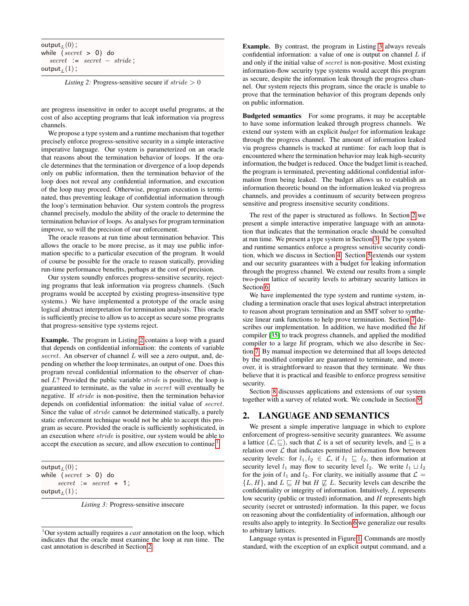<span id="page-1-0"></span>output<sub> $L$ </sub> $(0)$ ; while  $(\text{secret} > 0)$  do  $secret := secret - stride;$ output<sub> $L(1)$ </sub>;

*Listing 2:* Progress-sensitive secure if  $\text{stride} > 0$ 

are progress insensitive in order to accept useful programs, at the cost of also accepting programs that leak information via progress channels.

We propose a type system and a runtime mechanism that together precisely enforce progress-sensitive security in a simple interactive imperative language. Our system is parameterized on an oracle that reasons about the termination behavior of loops. If the oracle determines that the termination or divergence of a loop depends only on public information, then the termination behavior of the loop does not reveal any confidential information, and execution of the loop may proceed. Otherwise, program execution is terminated, thus preventing leakage of confidential information through the loop's termination behavior. Our system controls the progress channel precisely, modulo the ability of the oracle to determine the termination behavior of loops. As analyses for program termination improve, so will the precision of our enforcement.

The oracle reasons at run time about termination behavior. This allows the oracle to be more precise, as it may use public information specific to a particular execution of the program. It would of course be possible for the oracle to reason statically, providing run-time performance benefits, perhaps at the cost of precision.

Our system soundly enforces progress-sensitive security, rejecting programs that leak information via progress channels. (Such programs would be accepted by existing progress-insensitive type systems.) We have implemented a prototype of the oracle using logical abstract interpretation for termination analysis. This oracle is sufficiently precise to allow us to accept as secure some programs that progress-sensitive type systems reject.

Example. The program in Listing [2](#page-1-0) contains a loop with a guard that depends on confidential information: the contents of variable secret. An observer of channel  $L$  will see a zero output, and, depending on whether the loop terminates, an output of one. Does this program reveal confidential information to the observer of channel  $L$ ? Provided the public variable *stride* is positive, the loop is guaranteed to terminate, as the value in secret will eventually be negative. If stride is non-positive, then the termination behavior depends on confidential information: the initial value of secret. Since the value of stride cannot be determined statically, a purely static enforcement technique would not be able to accept this program as secure. Provided the oracle is sufficiently sophisticated, in an execution where stride is positive, our system would be able to accept the execution as secure, and allow execution to continue.<sup>[1](#page-1-1)</sup>

<span id="page-1-3"></span>output $_L(0)$ ; while  $(\text{secret} > 0)$  do  $secret \ \coloneqq \ secret \ + \ 1 \, ;$ output $_L(1)$ ;

*Listing 3:* Progress-sensitive insecure

Example. By contrast, the program in Listing [3](#page-1-3) always reveals confidential information: a value of one is output on channel  $L$  if and only if the initial value of secret is non-positive. Most existing information-flow security type systems would accept this program as secure, despite the information leak through the progress channel. Our system rejects this program, since the oracle is unable to prove that the termination behavior of this program depends only on public information.

Budgeted semantics For some programs, it may be acceptable to have some information leaked through progress channels. We extend our system with an explicit *budget* for information leakage through the progress channel. The amount of information leaked via progress channels is tracked at runtime: for each loop that is encountered where the termination behavior may leak high-security information, the budget is reduced. Once the budget limit is reached, the program is terminated, preventing additional confidential information from being leaked. The budget allows us to establish an information theoretic bound on the information leaked via progress channels, and provides a continuum of security between progress sensitive and progress insensitive security conditions.

The rest of the paper is structured as follows. In Section [2](#page-1-2) we present a simple interactive imperative language with an annotation that indicates that the termination oracle should be consulted at run time. We present a type system in Section [3.](#page-3-0) The type system and runtime semantics enforce a progress sensitive security condition, which we discuss in Section [4.](#page-4-0) Section [5](#page-4-1) extends our system and our security guarantees with a budget for leaking information through the progress channel. We extend our results from a simple two-point lattice of security levels to arbitrary security lattices in Section [6.](#page-5-0)

We have implemented the type system and runtime system, including a termination oracle that uses logical abstract interpretation to reason about program termination and an SMT solver to synthesize linear rank functions to help prove termination. Section [7](#page-8-0) describes our implementation. In addition, we have modified the Jif compiler [\[35\]](#page-11-4) to track progress channels, and applied the modified compiler to a large Jif program, which we also describe in Section [7.](#page-8-0) By manual inspection we determined that all loops detected by the modified compiler are guaranteed to terminate, and moreover, it is straightforward to reason that they terminate. We thus believe that it is practical and feasible to enforce progress sensitive security.

Section [8](#page-9-0) discusses applications and extensions of our system together with a survey of related work. We conclude in Section [9.](#page-10-2)

# <span id="page-1-2"></span>2. LANGUAGE AND SEMANTICS

We present a simple imperative language in which to explore enforcement of progress-sensitive security guarantees. We assume a lattice  $(\mathcal{L}, \sqsubseteq)$ , such that  $\mathcal L$  is a set of security levels, and  $\sqsubseteq$  is a relation over  $\mathcal L$  that indicates permitted information flow between security levels: for  $l_1, l_2 \in \mathcal{L}$ , if  $l_1 \sqsubseteq l_2$ , then information at security level  $l_1$  may flow to security level  $l_2$ . We write  $l_1 \sqcup l_2$ for the join of  $l_1$  and  $l_2$ . For clarity, we initially assume that  $\mathcal{L} =$  $\{L, H\}$ , and  $L \sqsubseteq H$  but  $H \not\sqsubseteq L$ . Security levels can describe the confidentiality or integrity of information. Intuitively, L represents low security (public or trusted) information, and  $H$  represents high security (secret or untrusted) information. In this paper, we focus on reasoning about the confidentiality of information, although our results also apply to integrity. In Section [6](#page-5-0) we generalize our results to arbitrary lattices.

Language syntax is presented in Figure [1.](#page-2-0) Commands are mostly standard, with the exception of an explicit output command, and a

<span id="page-1-1"></span><sup>1</sup>Our system actually requires a *cast* annotation on the loop, which indicates that the oracle must examine the loop at run time. The cast annotation is described in Section [2.](#page-1-2)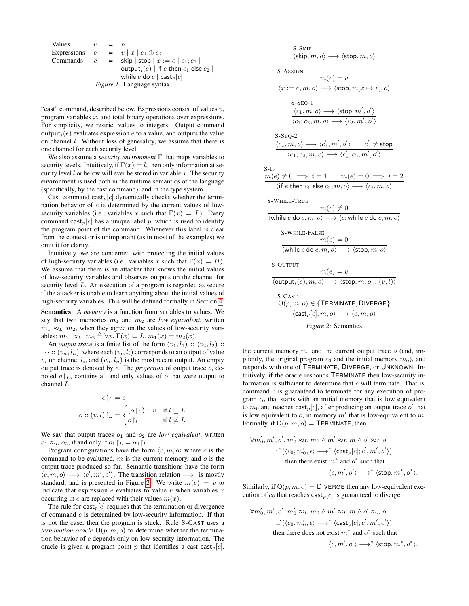```
Values v := nExpressions e ::= v | x | e_1 \oplus e_2Commands c ::= skip | stop x := e \mid c_1; c_2 |
                        output_l(e) \mid if e then c_1 else c_2 \midwhile e do c | cast_p[c]Figure 1: Language syntax
```
"cast" command, described below. Expressions consist of values  $v$ , program variables  $x$ , and total binary operations over expressions. For simplicity, we restrict values to integers. Output command output $_{l}(e)$  evaluates expression  $e$  to a value, and outputs the value on channel l. Without loss of generality, we assume that there is one channel for each security level.

We also assume a *security environment* Γ that maps variables to security levels. Intuitively, if  $\Gamma(x) = l$ , then only information at security level  $l$  or below will ever be stored in variable  $x$ . The security environment is used both in the runtime semantics of the language (specifically, by the cast command), and in the type system.

Cast command cast<sub>p</sub> $[c]$  dynamically checks whether the termination behavior of  $c$  is determined by the current values of lowsecurity variables (i.e., variables x such that  $\Gamma(x) = L$ ). Every command cast<sub>p</sub>[c] has a unique label p, which is used to identify the program point of the command. Whenever this label is clear from the context or is unimportant (as in most of the examples) we omit it for clarity.

Intuitively, we are concerned with protecting the initial values of high-security variables (i.e., variables x such that  $\Gamma(x) = H$ ). We assume that there is an attacker that knows the initial values of low-security variables and observes outputs on the channel for security level L. An execution of a program is regarded as secure if the attacker is unable to learn anything about the initial values of high-security variables. This will be defined formally in Section [4.](#page-4-0)

Semantics A *memory* is a function from variables to values. We say that two memories  $m_1$  and  $m_2$  are *low equivalent*, written  $m_1 \approx_L m_2$ , when they agree on the values of low-security variables:  $m_1 \approx_L m_2 \triangleq \forall x \cdot \Gamma(x) \sqsubseteq L. m_1(x) = m_2(x)$ .

An *output trace* is a finite list of the form  $(v_1, l_1) :: (v_2, l_2) ::$  $\cdots$  ::  $(v_n, l_n)$ , where each  $(v_i, l_i)$  corresponds to an output of value  $v_i$  on channel  $l_i$ , and  $(v_n, l_n)$  is the most recent output. An empty output trace is denoted by  $\epsilon$ . The *projection* of output trace  $o$ , denoted  $o \upharpoonright_L$ , contains all and only values of o that were output to channel L:

$$
\epsilon \upharpoonright_{L} = \epsilon
$$
  

$$
o :: (v, l) \upharpoonright_{L} = \begin{cases} (o \upharpoonright_{L}) :: v & \text{if } l \subseteq L \\ o \upharpoonright_{L} & \text{if } l \not\subseteq L \end{cases}
$$

We say that output traces  $o_1$  and  $o_2$  are *low equivalent*, written  $o_1 \approx_L o_2$ , if and only if  $o_1 \upharpoonright_L = o_2 \upharpoonright_L$ .

Program configurations have the form  $\langle c, m, o \rangle$  where c is the command to be evaluated,  $m$  is the current memory, and  $o$  is the output trace produced so far. Semantic transitions have the form  $\langle c, m, o \rangle \longrightarrow \langle c', m', o' \rangle$ . The transition relation  $\longrightarrow$  is mostly standard, and is presented in Figure [2.](#page-2-1) We write  $m(e) = v$  to indicate that expression  $e$  evaluates to value  $v$  when variables  $x$ occurring in e are replaced with their values  $m(x)$ .

The rule for cast<sub>p</sub>[c] requires that the termination or divergence of command  $c$  is determined by low-security information. If that is not the case, then the program is stuck. Rule S-CAST uses a *termination oracle*  $O(p, m, o)$  to determine whether the termination behavior of  $c$  depends only on low-security information. The oracle is given a program point p that identifies a cast cast<sub>p</sub>[c],

<span id="page-2-1"></span>S-SKIP  
\n
$$
\langle \text{skip}, m, o \rangle \longrightarrow \langle \text{stop}, m, o \rangle
$$
  
\nS-ASSIGN  
\n
$$
m(e) = v
$$
  
\n
$$
\overline{\langle x := e, m, o \rangle} \longrightarrow \langle \text{stop}, m[x \mapsto v], o \rangle
$$
  
\nS-SEQ-1  
\n
$$
\langle c_1, m, o \rangle \longrightarrow \langle \text{stop}, m', o' \rangle
$$
  
\n
$$
\langle c_1, c_2, m, o \rangle \longrightarrow \langle c_2, m', o' \rangle
$$
  
\nS-SEQ-2  
\n
$$
\langle c_1, m, o \rangle \longrightarrow \langle c'_1, m', o' \rangle \qquad c'_1 \neq \text{stop}
$$
  
\n
$$
\langle c_1, c_2, m, o \rangle \longrightarrow \langle c'_1, c_2, m', o' \rangle
$$
  
\nS-IF  
\n
$$
m(e) \neq 0 \implies i = 1 \qquad m(e) = 0 \implies i = 2
$$
  
\n
$$
\overline{\langle f \mid e} \text{ then } c_1 \text{ else } c_2, m, o \rangle \longrightarrow \langle c_i, m, o \rangle
$$
  
\nS-WHILE-TRUE  
\n
$$
m(e) \neq 0
$$
  
\n
$$
\overline{\langle \text{while } e \text{ do } c, m, o \rangle} \longrightarrow \langle c; \text{while } e \text{ do } c, m, o \rangle
$$
  
\nS-WHILE-FALSE  
\n
$$
m(e) = 0
$$
  
\n
$$
\overline{\langle \text{while } e \text{ do } c, m, o \rangle} \longrightarrow \langle \text{stop}, m, o \rangle
$$
  
\nS-OUTPUT  
\n
$$
m(e) = v
$$
  
\n
$$
\overline{\langle \text{output}_i(e), m, o \rangle} \longrightarrow \langle \text{stop}, m, o :: (v, l) \rangle}
$$
  
\nS-CAST  
\n
$$
\overline{O(p, m, o) \in \{ \text{TERMINATE, DIVERGE} \}
$$
  
\n
$$
\overline{\langle \text{cast}_p[c], m, o \rangle} \longrightarrow \langle c, m, o \rangle}
$$
  
\nFigure 2: Semantics

the current memory  $m$ , and the current output trace  $o$  (and, implicitly, the original program  $c_0$  and the initial memory  $m_0$ ), and responds with one of TERMINATE, DIVERGE, or UNKNOWN. Intuitively, if the oracle responds TERMINATE then low-security information is sufficient to determine that  $c$  will terminate. That is, command c is guaranteed to terminate for any execution of program  $c_0$  that starts with an initial memory that is low equivalent to  $m_0$  and reaches cast<sub>p</sub>[c], after producing an output trace o' that is low equivalent to  $o$ , in memory  $m'$  that is low-equivalent to  $m$ . Formally, if  $O(p, m, o) =$  TERMINATE, then

$$
\forall m'_0, m', o'. m'_0 \approx_L m_0 \land m' \approx_L m \land o' \approx_L o.
$$
  
if  $(\langle c_0, m'_0, \epsilon \rangle \longrightarrow^* \langle \text{cast}_p[c]; c', m', o' \rangle)$   
then there exist  $m^*$  and  $o^*$  such that  
 $\langle c, m', o' \rangle \longrightarrow^* \langle \text{stop}, m^*, o^* \rangle.$ 

Similarly, if  $O(p, m, o) =$  DIVERGE then any low-equivalent execution of  $c_0$  that reaches cast<sub>n</sub>[c] is guaranteed to diverge:

$$
\forall m'_0, m', o'. m'_0 \approx_L m_0 \land m' \approx_L m \land o' \approx_L o.
$$
  
if  $(\langle c_0, m'_0, \epsilon \rangle \longrightarrow^* \langle \text{cast}_p[c]; c', m', o' \rangle)$   
then there does not exist  $m^*$  and  $o^*$  such that  
 $\langle c, m', o' \rangle \longrightarrow^* \langle \text{stop}, m^*, o^* \rangle$ .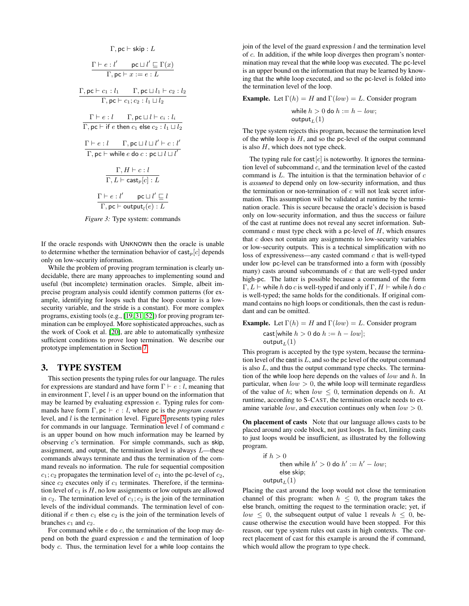<span id="page-3-1"></span>
$$
\Gamma, \text{pc} \vdash \text{skip} : L
$$
\n
$$
\frac{\Gamma \vdash e : l' \quad \text{pc} \sqcup l' \sqsubseteq \Gamma(x)}{\Gamma, \text{pc} \vdash x := e : L}
$$
\n
$$
\frac{\Gamma, \text{pc} \vdash c_1 : l_1 \quad \Gamma, \text{pc} \sqcup l_1 \vdash c_2 : l_2}{\Gamma, \text{pc} \vdash c_1; c_2 : l_1 \sqcup l_2}
$$
\n
$$
\frac{\Gamma \vdash e : l \quad \Gamma, \text{pc} \sqcup l \vdash c_i : l_i}{\Gamma, \text{pc} \vdash \text{if} e \text{ then } c_1 \text{ else } c_2 : l_1 \sqcup l_2}
$$
\n
$$
\frac{\Gamma \vdash e : l \quad \Gamma, \text{pc} \sqcup l \sqcup l' \vdash c : l'}{\Gamma, \text{pc} \vdash \text{while} e \text{ do } c : \text{pc} \sqcup l \sqcup l'} \frac{\Gamma, H \vdash c : l}{\Gamma, L \vdash \text{cast}_p[c] : L}
$$
\n
$$
\frac{\Gamma \vdash e : l' \quad \text{pc} \sqcup l' \sqsubseteq l}{\Gamma, \text{pc} \vdash \text{output}_l(e) : L}
$$
\n*Figure 3:* Type system: commands

If the oracle responds with UNKNOWN then the oracle is unable to determine whether the termination behavior of  $\text{cast}_p[c]$  depends only on low-security information.

While the problem of proving program termination is clearly undecidable, there are many approaches to implementing sound and useful (but incomplete) termination oracles. Simple, albeit imprecise program analysis could identify common patterns (for example, identifying for loops such that the loop counter is a lowsecurity variable, and the stride is a constant). For more complex programs, existing tools (e.g., [\[19,](#page-11-5) [31,](#page-11-6) [52\]](#page-12-9)) for proving program termination can be employed. More sophisticated approaches, such as the work of Cook et al. [\[20\]](#page-11-7), are able to automatically synthesize sufficient conditions to prove loop termination. We describe our prototype implementation in Section [7.](#page-8-0)

# <span id="page-3-0"></span>3. TYPE SYSTEM

This section presents the typing rules for our language. The rules for expressions are standard and have form  $\Gamma \vdash e : l$ , meaning that in environment  $\Gamma$ , level  $l$  is an upper bound on the information that may be learned by evaluating expression e. Typing rules for commands have form  $\Gamma$ ,  $pc \vdash c : l$ , where pc is the *program counter* level, and  $l$  is the termination level. Figure [3](#page-3-1) presents typing rules for commands in our language. Termination level  $l$  of command  $c$ is an upper bound on how much information may be learned by observing  $c$ 's termination. For simple commands, such as skip, assignment, and output, the termination level is always  $L$ —these commands always terminate and thus the termination of the command reveals no information. The rule for sequential composition  $c_1$ ;  $c_2$  propagates the termination level of  $c_1$  into the pc-level of  $c_2$ , since  $c_2$  executes only if  $c_1$  terminates. Therefore, if the termination level of  $c_1$  is  $H$ , no low assignments or low outputs are allowed in  $c_2$ . The termination level of  $c_1$ ;  $c_2$  is the join of the termination levels of the individual commands. The termination level of conditional if e then  $c_1$  else  $c_2$  is the join of the termination levels of branches  $c_1$  and  $c_2$ .

For command while  $e$  do  $c$ , the termination of the loop may depend on both the guard expression e and the termination of loop body c. Thus, the termination level for a while loop contains the join of the level of the guard expression  $l$  and the termination level of c. In addition, if the while loop diverges then program's nontermination may reveal that the while loop was executed. The pc-level is an upper bound on the information that may be learned by knowing that the while loop executed, and so the pc-level is folded into the termination level of the loop.

**Example.** Let 
$$
\Gamma(h) = H
$$
 and  $\Gamma(low) = L$ . Consider program

while  $h > 0$  do  $h := h - low$ ; output<sub> $I(1)$ </sub>

The type system rejects this program, because the termination level of the while loop is  $H$ , and so the pc-level of the output command is also  $H$ , which does not type check.

The typing rule for cast  $[c]$  is noteworthy. It ignores the termination level of subcommand c, and the termination level of the casted command is  $L$ . The intuition is that the termination behavior of  $c$ is *assumed* to depend only on low-security information, and thus the termination or non-termination of  $c$  will not leak secret information. This assumption will be validated at runtime by the termination oracle. This is secure because the oracle's decision is based only on low-security information, and thus the success or failure of the cast at runtime does not reveal any secret information. Subcommand  $c$  must type check with a pc-level of  $H$ , which ensures that  $c$  does not contain any assignments to low-security variables or low-security outputs. This is a technical simplification with no loss of expressiveness—any casted command  $c$  that is well-typed under low pc-level can be transformed into a form with (possibly many) casts around subcommands of  $c$  that are well-typed under high-pc. The latter is possible because a command of the form  $\Gamma, L \vdash$  while h do c is well-typed if and only if  $\Gamma, H \vdash$  while h do c is well-typed; the same holds for the conditionals. If original command contains no high loops or conditionals, then the cast is redundant and can be omitted.

**Example.** Let  $\Gamma(h) = H$  and  $\Gamma(low) = L$ . Consider program cast[while  $h > 0$  do  $h := h - low$ ]; output<sub>L</sub> $(1)$ 

This program is accepted by the type system, because the termination level of the cast is  $L$ , and so the pc level of the output command is also  $L$ , and thus the output command type checks. The termination of the while loop here depends on the values of  $low$  and  $h$ . In particular, when  $low > 0$ , the while loop will terminate regardless of the value of h; when  $low < 0$ , termination depends on h. At runtime, according to S-CAST, the termination oracle needs to examine variable  $low$ , and execution continues only when  $low > 0$ .

On placement of casts Note that our language allows casts to be placed around any code block, not just loops. In fact, limiting casts to just loops would be insufficient, as illustrated by the following program.

if 
$$
h > 0
$$
  
then while  $h' > 0$  do  $h' := h' - low$ ;  
else skip;  
output<sub>L</sub>(1)

Placing the cast around the loop would not close the termination channel of this program: when  $h \leq 0$ , the program takes the else branch, omitting the request to the termination oracle; yet, if  $low \leq 0$ , the subsequent output of value 1 reveals  $h \leq 0$ , because otherwise the execution would have been stopped. For this reason, our type system rules out casts in high contexts. The correct placement of cast for this example is around the if command, which would allow the program to type check.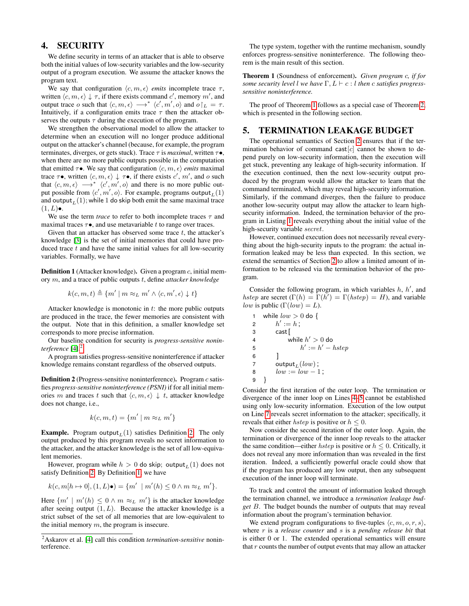# <span id="page-4-0"></span>4. SECURITY

We define security in terms of an attacker that is able to observe both the initial values of low-security variables and the low-security output of a program execution. We assume the attacker knows the program text.

We say that configuration  $\langle c, m, \epsilon \rangle$  *emits* incomplete trace  $\tau$ , written  $\langle c, m, \epsilon \rangle \downarrow \tau$ , if there exists command c', memory m', and output trace o such that  $\langle c, m, \epsilon \rangle \longrightarrow^* \langle c', m', o \rangle$  and  $o \upharpoonright_L = \tau$ . Intuitively, if a configuration emits trace  $\tau$  then the attacker observes the outputs  $\tau$  during the execution of the program.

We strengthen the observational model to allow the attacker to determine when an execution will no longer produce additional output on the attacker's channel (because, for example, the program terminates, diverges, or gets stuck). Trace  $\tau$  is *maximal*, written  $\tau \bullet$ , when there are no more public outputs possible in the computation that emitted  $\tau \bullet$ . We say that configuration  $\langle c, m, \epsilon \rangle$  *emits* maximal trace  $\tau \bullet$ , written  $\langle c, m, \epsilon \rangle \downarrow \tau \bullet$ , if there exists  $c', m'$ , and o such that  $\langle c, m, \epsilon \rangle \longrightarrow^* \langle c', m', o \rangle$  and there is no more public output possible from  $\langle c', m', o \rangle$ . For example, programs output  $_L(1)$ and output<sub>L</sub>(1); while 1 do skip both emit the same maximal trace  $(1, L) \bullet$ .

We use the term *trace* to refer to both incomplete traces  $\tau$  and maximal traces  $\tau \bullet$ , and use metavariable t to range over traces.

Given that an attacker has observed some trace  $t$ , the attacker's knowledge [\[3\]](#page-10-3) is the set of initial memories that could have produced trace  $t$  and have the same initial values for all low-security variables. Formally, we have

<span id="page-4-4"></span>Definition 1 (Attacker knowledge). Given a program c, initial memory m, and a trace of public outputs t, define *attacker knowledge*

$$
k(c, m, t) \triangleq \{m' \mid m \approx_L m' \land \langle c, m', \epsilon \rangle \downarrow t\}
$$

Attacker knowledge is monotonic in  $t$ : the more public outputs are produced in the trace, the fewer memories are consistent with the output. Note that in this definition, a smaller knowledge set corresponds to more precise information.

Our baseline condition for security is *progress-sensitive noninterference* [\[4\]](#page-10-0).<sup>[2](#page-4-2)</sup>

A program satisfies progress-sensitive noninterference if attacker knowledge remains constant regardless of the observed outputs.

<span id="page-4-3"></span>Definition 2 (Progress-sensitive noninterference). Program c satisfies *progress-sensitive noninterference (PSNI)* if for all initial memories m and traces t such that  $\langle c, m, \epsilon \rangle \downarrow t$ , attacker knowledge does not change, i.e.,

$$
k(c, m, t) = \{m' \mid m \approx_L m'\}
$$

**Example.** Program output<sub>L</sub>(1) satisfies Definition [2.](#page-4-3) The only output produced by this program reveals no secret information to the attacker, and the attacker knowledge is the set of all low-equivalent memories.

However, program while  $h > 0$  do skip; output, (1) does not satisfy Definition [2.](#page-4-3) By Definition [1,](#page-4-4) we have

$$
k(c, m[h \mapsto 0], (1, L)\bullet) = \{m' \mid m'(h) \le 0 \land m \approx_L m'\}.
$$

Here  $\{m' \mid m'(h) \leq 0 \land m \approx_L m'\}$  is the attacker knowledge after seeing output  $(1, L)$ . Because the attacker knowledge is a strict subset of the set of all memories that are low-equivalent to the initial memory  $m$ , the program is insecure.

The type system, together with the runtime mechanism, soundly enforces progress-sensitive noninterference. The following theorem is the main result of this section.

<span id="page-4-5"></span>Theorem 1 (Soundness of enforcement). *Given program* c*, if for some security level l we have*  $\Gamma, L \vdash c : l$  *then c satisfies progresssensitive noninterference.*

The proof of Theorem [1](#page-4-5) follows as a special case of Theorem [2,](#page-5-1) which is presented in the following section.

# <span id="page-4-1"></span>5. TERMINATION LEAKAGE BUDGET

The operational semantics of Section [2](#page-1-2) ensures that if the termination behavior of command cast  $[c]$  cannot be shown to depend purely on low-security information, then the execution will get stuck, preventing any leakage of high-security information. If the execution continued, then the next low-security output produced by the program would allow the attacker to learn that the command terminated, which may reveal high-security information. Similarly, if the command diverges, then the failure to produce another low-security output may allow the attacker to learn highsecurity information. Indeed, the termination behavior of the program in Listing [1](#page-0-0) reveals everything about the initial value of the high-security variable secret.

However, continued execution does not necessarily reveal everything about the high-security inputs to the program: the actual information leaked may be less than expected. In this section, we extend the semantics of Section [2](#page-1-2) to allow a limited amount of information to be released via the termination behavior of the program.

Consider the following program, in which variables  $h, h'$ , and hstep are secret  $(\Gamma(h) = \Gamma(h') = \Gamma(hstep) = H)$ , and variable *low* is public  $(\Gamma(low) = L)$ .

<span id="page-4-7"></span><span id="page-4-6"></span>

| 1 | while $low > 0$ do {           |
|---|--------------------------------|
| 2 | $h' := h$ :                    |
| 3 | cast [                         |
| 4 | while $h' > 0$ do              |
| 5 | $h' := h' - hstep$             |
| 6 |                                |
| 7 | output <sub>L</sub> ( $low$ ); |
| 8 | $low := low - 1;$              |
| 9 |                                |

<span id="page-4-8"></span>Consider the first iteration of the outer loop. The termination or divergence of the inner loop on Lines [4](#page-4-6)[–5](#page-4-7) cannot be established using only low-security information. Execution of the low output on Line [7](#page-4-8) reveals secret information to the attacker; specifically, it reveals that either *hstep* is positive or  $h \leq 0$ .

Now consider the second iteration of the outer loop. Again, the termination or divergence of the inner loop reveals to the attacker the same condition—either *hstep* is positive or  $h \leq 0$ . Critically, it does not reveal any more information than was revealed in the first iteration. Indeed, a sufficiently powerful oracle could show that if the program has produced any low output, then any subsequent execution of the inner loop will terminate.

To track and control the amount of information leaked through the termination channel, we introduce a *termination leakage budget* B. The budget bounds the number of outputs that may reveal information about the program's termination behavior.

We extend program configurations to five-tuples  $\langle c, m, o, r, s \rangle$ , where r is a *release counter* and s is a *pending release bit* that is either 0 or 1. The extended operational semantics will ensure that  $r$  counts the number of output events that may allow an attacker

<span id="page-4-2"></span><sup>2</sup>Askarov et al. [\[4\]](#page-10-0) call this condition *termination-sensitive* noninterference.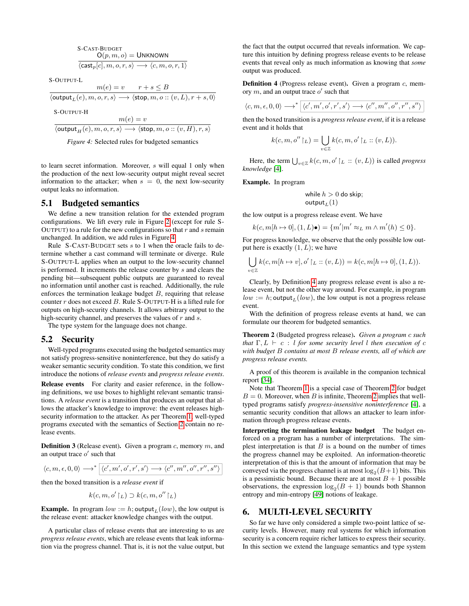<span id="page-5-2"></span>S-CAST-BUDGET  
\n
$$
O(p, m, o) = UNKNOWN
$$
\n
$$
\langle \text{cast}_p[c], m, o, r, s \rangle \longrightarrow \langle c, m, o, r, 1 \rangle
$$

S-OUTPUT-L

 $m(e) = v \qquad r + s \leq B$  $\langle \textsf{output}_L(e), m, o, r, s \rangle \longrightarrow \langle \textsf{stop}, m, o : : (v, L), r + s, 0 \rangle$ 

S-OUTPUT-H

$$
m(e) = v
$$
  
\n
$$
\langle \text{output}_H(e), m, o, r, s \rangle \longrightarrow \langle \text{stop}, m, o :: (v, H), r, s \rangle
$$

*Figure 4:* Selected rules for budgeted semantics

to learn secret information. Moreover, s will equal 1 only when the production of the next low-security output might reveal secret information to the attacker; when  $s = 0$ , the next low-security output leaks no information.

#### <span id="page-5-4"></span>5.1 Budgeted semantics

We define a new transition relation for the extended program configurations. We lift every rule in Figure [2](#page-2-1) (except for rule S-OUTPUT) to a rule for the new configurations so that  $r$  and  $s$  remain unchanged. In addition, we add rules in Figure [4.](#page-5-2)

Rule S-CAST-BUDGET sets s to 1 when the oracle fails to determine whether a cast command will terminate or diverge. Rule S-OUTPUT-L applies when an output to the low-security channel is performed. It increments the release counter by s and clears the pending bit—subsequent public outputs are guaranteed to reveal no information until another cast is reached. Additionally, the rule enforces the termination leakage budget  $B$ , requiring that release counter  $r$  does not exceed  $B$ . Rule S-OUTPUT-H is a lifted rule for outputs on high-security channels. It allows arbitrary output to the high-security channel, and preserves the values of  $r$  and  $s$ .

The type system for the language does not change.

#### 5.2 Security

Well-typed programs executed using the budgeted semantics may not satisfy progress-sensitive noninterference, but they do satisfy a weaker semantic security condition. To state this condition, we first introduce the notions of *release events* and *progress release events*.

Release events For clarity and easier reference, in the following definitions, we use boxes to highlight relevant semantic transitions. A *release event* is a transition that produces an output that allows the attacker's knowledge to improve: the event releases highsecurity information to the attacker. As per Theorem [1,](#page-4-5) well-typed programs executed with the semantics of Section [2](#page-1-2) contain no release events.

**Definition 3** (Release event). Given a program  $c$ , memory  $m$ , and an output trace  $o'$  such that

$$
\langle c,m,\epsilon,0,0\rangle \longrightarrow^* \boxed{\langle c',m',o',r',s'\rangle \longrightarrow \langle c'',m'',o'',r'',s''\rangle}
$$

then the boxed transition is a *release event* if

$$
k(c, m, o' \upharpoonright_L) \supset k(c, m, o'' \upharpoonright_L)
$$

**Example.** In program  $low := h$ ; output<sub>L</sub>(low), the low output is the release event: attacker knowledge changes with the output.

A particular class of release events that are interesting to us are *progress release events*, which are release events that leak information via the progress channel. That is, it is not the value output, but the fact that the output occurred that reveals information. We capture this intuition by defining progress release events to be release events that reveal only as much information as knowing that *some* output was produced.

<span id="page-5-3"></span>**Definition 4** (Progress release event). Given a program  $c$ , memory  $m$ , and an output trace  $o'$  such that

$$
\langle c, m, \epsilon, 0, 0 \rangle \longrightarrow^* \boxed{\langle c', m', o', r', s' \rangle \longrightarrow \langle c'', m'', o'', r'', s'' \rangle}
$$

then the boxed transition is a *progress release event*, if it is a release event and it holds that

$$
k(c, m, o'' \upharpoonright_L) = \bigcup_{v \in \mathbb{Z}} k(c, m, o' \upharpoonright_L :: (v, L)).
$$

Here, the term  $\bigcup_{v \in \mathbb{Z}} k(c, m, o' \upharpoonright_L :: (v, L))$  is called *progress knowledge* [\[4\]](#page-10-0).

Example. In program

$$
\begin{array}{l} \text{while } h>0 \text{ do skip;} \\ \text{output}_L(1) \end{array}
$$

the low output is a progress release event. We have

 $k(c, m[h \mapsto 0], (1, L)\bullet) = \{m'|m' \approx_L m \wedge m'(h) \leq 0\}.$ 

For progress knowledge, we observe that the only possible low output here is exactly  $(1, L)$ ; we have

$$
\bigcup_{v \in \mathbb{Z}} k(c, m[h \mapsto v], o' \upharpoonright_L :: (v, L)) = k(c, m[h \mapsto 0], (1, L)).
$$

Clearly, by Definition [4](#page-5-3) any progress release event is also a release event, but not the other way around. For example, in program  $low := h$ ; output<sub>L</sub>(low), the low output is not a progress release event.

With the definition of progress release events at hand, we can formulate our theorem for budgeted semantics.

<span id="page-5-1"></span>Theorem 2 (Budgeted progress release). *Given a program* c *such that*  $\Gamma, L \vdash c : l$  *for some security level l then execution of c with budget* B *contains at most* B *release events, all of which are progress release events.*

A proof of this theorem is available in the companion technical report [\[34\]](#page-11-8).

Note that Theorem [1](#page-4-5) is a special case of Theorem [2](#page-5-1) for budget  $B = 0$ . Moreover, when B is infinite, Theorem [2](#page-5-1) implies that welltyped programs satisfy *progress-insensitive noninterference* [\[4\]](#page-10-0), a semantic security condition that allows an attacker to learn information through progress release events.

Interpreting the termination leakage budget The budget enforced on a program has a number of interpretations. The simplest interpretation is that  $B$  is a bound on the number of times the progress channel may be exploited. An information-theoretic interpretation of this is that the amount of information that may be conveyed via the progress channel is at most  $\log_2(B+1)$  bits. This is a pessimistic bound. Because there are at most  $B + 1$  possible observations, the expression  $log_2(B + 1)$  bounds both Shannon entropy and min-entropy [\[49\]](#page-12-10) notions of leakage.

# <span id="page-5-0"></span>6. MULTI-LEVEL SECURITY

So far we have only considered a simple two-point lattice of security levels. However, many real systems for which information security is a concern require richer lattices to express their security. In this section we extend the language semantics and type system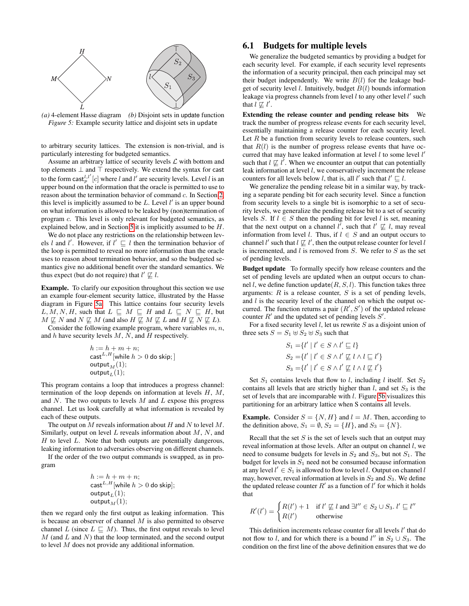<span id="page-6-1"></span><span id="page-6-0"></span>

*(a)* 4-element Hasse diagram *(b)* Disjoint sets in update function *Figure 5:* Example security lattice and disjoint sets in update

to arbitrary security lattices. The extension is non-trivial, and is particularly interesting for budgeted semantics.

Assume an arbitrary lattice of security levels  $\mathcal L$  with bottom and top elements  $\bot$  and  $\top$  respectively. We extend the syntax for cast to the form cast $_{p}^{l,l'}[c]$  where l and l' are security levels. Level l is an upper bound on the information that the oracle is permitted to use to reason about the termination behavior of command c. In Section [2,](#page-1-2) this level is implicitly assumed to be  $L$ . Level  $l'$  is an upper bound on what information is allowed to be leaked by (non)termination of program c. This level is only relevant for budgeted semantics, as explained below, and in Section [5](#page-4-1) it is implicitly assumed to be H.

We do not place any restrictions on the relationship between levels l and l'. However, if  $l' \sqsubseteq l$  then the termination behavior of the loop is permitted to reveal no more information than the oracle uses to reason about termination behavior, and so the budgeted semantics give no additional benefit over the standard semantics. We thus expect (but do not require) that  $l' \not\sqsubseteq l$ .

Example. To clarify our exposition throughout this section we use an example four-element security lattice, illustrated by the Hasse diagram in Figure [5a.](#page-6-0) This lattice contains four security levels  $L, M, N, H$ , such that  $L \subseteq M \subseteq H$  and  $L \subseteq N \subseteq H$ , but  $M \not\sqsubseteq N$  and  $N \not\sqsubseteq M$  (and also  $H \not\sqsubseteq M \not\sqsubseteq L$  and  $H \not\sqsubseteq N \not\sqsubseteq L$ ).

Consider the following example program, where variables  $m, n$ , and  $h$  have security levels  $M$ ,  $N$ , and  $H$  respectively.

$$
\begin{array}{l} h := h + m + n; \\ \mathrm{cast}^{L, H}[\mathrm{while}\ h > 0\ \mathrm{do}\ \mathrm{skip};] \\ \mathrm{output}_M(1); \\ \mathrm{output}_L(1); \end{array}
$$

This program contains a loop that introduces a progress channel: termination of the loop depends on information at levels  $H, M$ , and  $N$ . The two outputs to levels  $M$  and  $L$  expose this progress channel. Let us look carefully at what information is revealed by each of these outputs.

The output on  $M$  reveals information about  $H$  and  $N$  to level  $M$ . Similarly, output on level  $L$  reveals information about  $M$ ,  $N$ , and  $H$  to level  $L$ . Note that both outputs are potentially dangerous, leaking information to adversaries observing on different channels.

If the order of the two output commands is swapped, as in program

$$
\begin{array}{l} h := h+m+n;\\ \mathrm{cast}^{L,H}[\mathrm{while}\ h>0\ \mathrm{do}\ \mathrm{skip}];\\ \mathrm{output}_L(1);\\ \mathrm{output}_M(1); \end{array}
$$

then we regard only the first output as leaking information. This is because an observer of channel  $M$  is also permitted to observe channel L (since  $L \subseteq M$ ). Thus, the first output reveals to level  $M$  (and  $L$  and  $N$ ) that the loop terminated, and the second output to level M does not provide any additional information.

# 6.1 Budgets for multiple levels

We generalize the budgeted semantics by providing a budget for each security level. For example, if each security level represents the information of a security principal, then each principal may set their budget independently. We write  $B(l)$  for the leakage budget of security level  $l$ . Intuitively, budget  $B(l)$  bounds information leakage via progress channels from level  $l$  to any other level  $l'$  such that  $l \not\sqsubseteq l'$ .

Extending the release counter and pending release bits We track the number of progress release events for each security level, essentially maintaining a release counter for each security level. Let  $R$  be a function from security levels to release counters, such that  $R(l)$  is the number of progress release events that have occurred that may have leaked information at level  $l$  to some level  $l'$ such that  $l \not\sqsubseteq l'$ . When we encounter an output that can potentially leak information at level l, we conservatively increment the release counters for all levels below l, that is, all l' such that  $l' \sqsubseteq l$ .

We generalize the pending release bit in a similar way, by tracking a separate pending bit for each security level. Since a function from security levels to a single bit is isomorphic to a set of security levels, we generalize the pending release bit to a set of security levels S. If  $l \in S$  then the pending bit for level l is set, meaning that the next output on a channel  $l^{\prime}$ , such that  $l^{\prime} \not\sqsubseteq l$ , may reveal information from level l. Thus, if  $l \in S$  and an output occurs to channel l' such that  $l \not\sqsubseteq l'$ , then the output release counter for level l is incremented, and  $l$  is removed from  $S$ . We refer to  $S$  as the set of pending levels.

Budget update To formally specify how release counters and the set of pending levels are updated when an output occurs to channel l, we define function update $(R, S, l)$ . This function takes three arguments:  $R$  is a release counter,  $S$  is a set of pending levels, and  $l$  is the security level of the channel on which the output occurred. The function returns a pair  $(R', S')$  of the updated release counter  $R'$  and the updated set of pending levels  $S'$ .

For a fixed security level  $l$ , let us rewrite  $S$  as a disjoint union of three sets  $S = S_1 \oplus S_2 \oplus S_3$  such that

$$
S_1 = \{l' \mid l' \in S \land l' \sqsubseteq l\}
$$
  
\n
$$
S_2 = \{l' \mid l' \in S \land l' \sqsubseteq l \land l \sqsubseteq l'\}
$$
  
\n
$$
S_3 = \{l' \mid l' \in S \land l' \sqsubseteq l \land l \sqsubseteq l'\}
$$

Set  $S_1$  contains levels that flow to l, including l itself. Set  $S_2$ contains all levels that are strictly higher than  $l$ , and set  $S_3$  is the set of levels that are incomparable with l. Figure [5b](#page-6-1) visualizes this partitioning for an arbitrary lattice when S contains all levels.

**Example.** Consider  $S = \{N, H\}$  and  $l = M$ . Then, according to the definition above,  $S_1 = \emptyset$ ,  $S_2 = \{H\}$ , and  $S_3 = \{N\}$ .

Recall that the set  $S$  is the set of levels such that an output may reveal information at those levels. After an output on channel  $l$ , we need to consume budgets for levels in  $S_2$  and  $S_3$ , but not  $S_1$ . The budget for levels in  $S_1$  need not be consumed because information at any level  $l' \in S_1$  is allowed to flow to level l. Output on channel l may, however, reveal information at levels in  $S_2$  and  $S_3$ . We define the updated release counter  $R'$  as a function of l' for which it holds that

$$
R'(l') = \begin{cases} R(l') + 1 & \text{if } l' \not\sqsubseteq l \text{ and } \exists l'' \in S_2 \cup S_3 \text{ and } l'' \subseteq l''\\ R(l') & \text{otherwise} \end{cases}
$$

This definition increments release counter for all levels  $l'$  that do not flow to l, and for which there is a bound l'' in  $S_2 \cup S_3$ . The condition on the first line of the above definition ensures that we do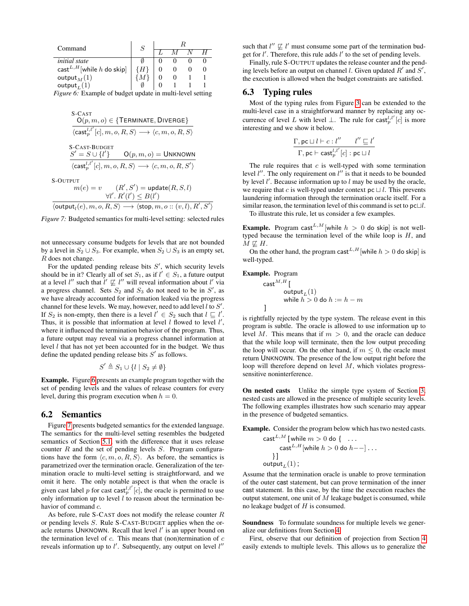<span id="page-7-0"></span>

| Command                               | S |  |  |  |          |
|---------------------------------------|---|--|--|--|----------|
|                                       |   |  |  |  |          |
| <i>initial</i> state                  |   |  |  |  |          |
| cast <sup>L,H</sup> [while h do skip] |   |  |  |  |          |
| output <sub>M</sub> $(1)$             |   |  |  |  |          |
| output <sub><math>L(1)</math></sub>   |   |  |  |  |          |
| $\sim$ $\sim$                         |   |  |  |  | $\cdots$ |

*Figure 6:* Example of budget update in multi-level setting

<span id="page-7-1"></span>

| $S-CAST$<br>$O(p, m, o) \in \{TERMINATE, DIVERGE\}$                                                      |
|----------------------------------------------------------------------------------------------------------|
|                                                                                                          |
| $\langle \mathsf{cast}^{l,l'}_{n} [c], m, o, R, S \rangle \longrightarrow \langle c, m, o, R, S \rangle$ |
|                                                                                                          |
| S-CAST-BUDGET<br>$S' = S \cup \{l'\}$ $O(p, m, o) = UNKNOWN$                                             |
| $\langle \mathsf{cast}^{l,l'}_n[c], m, o, R, S \rangle \longrightarrow \langle c, m, o, R, S' \rangle$   |
| <b>S-OUTPUT</b>                                                                                          |
|                                                                                                          |
| $m(e) = v \tbinom{(R', S')}{P'} = \text{update}(R, S, l)$                                                |

$$
\dfrac{\forall l'.~R'(l')\leq B(l')}{\langle \textsf{output}_l(e),m,o,R,S\rangle\longrightarrow \langle \textsf{stop},m,o::(v,l),R',S'\rangle}
$$

*Figure 7:* Budgeted semantics for multi-level setting: selected rules

not unnecessary consume budgets for levels that are not bounded by a level in  $S_2 \cup S_3$ . For example, when  $S_2 \cup S_3$  is an empty set, R does not change.

For the updated pending release bits  $S'$ , which security levels should be in it? Clearly all of set  $S_1$ , as if  $l' \in S_1$ , a future output at a level  $l''$  such that  $l' \not\sqsubseteq l''$  will reveal information about  $l'$  via a progress channel. Sets  $S_2$  and  $S_3$  do not need to be in  $S'$ , as we have already accounted for information leaked via the progress channel for these levels. We may, however, need to add level  $l$  to  $S'$ . If  $S_2$  is non-empty, then there is a level  $l' \in S_2$  such that  $l \sqsubseteq l'$ . Thus, it is possible that information at level  $l$  flowed to level  $l'$ , where it influenced the termination behavior of the program. Thus, a future output may reveal via a progress channel information at level  $l$  that has not yet been accounted for in the budget. We thus define the updated pending release bits  $S'$  as follows.

$$
S' \triangleq S_1 \cup \{l \mid S_2 \neq \emptyset\}
$$

Example. Figure [6](#page-7-0) presents an example program together with the set of pending levels and the values of release counters for every level, during this program execution when  $h = 0$ .

## 6.2 Semantics

Figure [7](#page-7-1) presents budgeted semantics for the extended language. The semantics for the multi-level setting resembles the budgeted semantics of Section [5.1,](#page-5-4) with the difference that it uses release counter  $R$  and the set of pending levels  $S$ . Program configurations have the form  $\langle c, m, o, R, S \rangle$ . As before, the semantics is parametrized over the termination oracle. Generalization of the termination oracle to multi-level setting is straightforward, and we omit it here. The only notable aspect is that when the oracle is given cast label p for cast cast  $\frac{d!}{p'}[c]$ , the oracle is permitted to use only information up to level  $l$  to reason about the termination behavior of command c.

As before, rule  $S$ -CAST does not modify the release counter  $R$ or pending levels S. Rule S-CAST-BUDGET applies when the oracle returns UNKNOWN. Recall that level  $l'$  is an upper bound on the termination level of  $c$ . This means that (non)termination of  $c$ reveals information up to  $l'$ . Subsequently, any output on level  $l''$ 

such that  $l'' \not\sqsubseteq l'$  must consume some part of the termination budget for  $l'$ . Therefore, this rule adds  $l'$  to the set of pending levels.

Finally, rule S-OUTPUT updates the release counter and the pending levels before an output on channel  $l$ . Given updated  $R'$  and  $S'$ , the execution is allowed when the budget constraints are satisfied.

#### 6.3 Typing rules

Most of the typing rules from Figure [3](#page-3-1) can be extended to the multi-level case in a straightforward manner by replacing any occurrence of level L with level  $\perp$ . The rule for cast<sup>l<sub>p</sub>''</sup>[c] is more interesting and we show it below.

$$
\frac{\Gamma, \text{pc} \sqcup l \vdash c : l'' \qquad l'' \sqsubseteq l'}{\Gamma, \text{pc} \vdash \text{cast}_p^{l,l'}[c] : \text{pc} \sqcup l}
$$

The rule requires that  $c$  is well-typed with some termination level  $l''$ . The only requirement on  $l''$  is that it needs to be bounded by level  $l'$ . Because information up to  $l$  may be used by the oracle, we require that c is well-typed under context  $pc \sqcup l$ . This prevents laundering information through the termination oracle itself. For a similar reason, the termination level of this command is set to  $pc\Box l$ .

To illustrate this rule, let us consider a few examples.

**Example.** Program cast<sup>L,M</sup>[while  $h > 0$  do skip] is not welltyped because the termination level of the while loop is  $H$ , and  $M \not\sqsubseteq H$ .

On the other hand, the program cast<sup>L,H</sup>[while  $h > 0$  do skip] is well-typed.

Example. Program

$$
\begin{array}{ll}\text{cast}^{M,H}[\\ \text{output}_L(1)\\ \text{while } h > 0 \text{ do } h := h - m\\ \end{array}
$$

is rightfully rejected by the type system. The release event in this program is subtle. The oracle is allowed to use information up to level M. This means that if  $m > 0$ , and the oracle can deduce that the while loop will terminate, then the low output preceding the loop will occur. On the other hand, if  $m \leq 0$ , the oracle must return UNKNOWN. The presence of the low output right before the loop will therefore depend on level M, which violates progresssensitive noninterference.

On nested casts Unlike the simple type system of Section [3,](#page-3-0) nested casts are allowed in the presence of multiple security levels. The following examples illustrates how such scenario may appear in the presence of budgeted semantics.

Example. Consider the program below which has two nested casts.

$$
\begin{array}{l}\n\text{cast}^{L,M} \left[ \text{while } m > 0 \text{ do } \{ \dots \} \\ \n\text{cast}^{L,H} \left[ \text{while } h > 0 \text{ do } h \text{---} \right] \dots \\ \n\end{array} \right]
$$
\n
$$
\text{output}_L(1) \, ;
$$

Assume that the termination oracle is unable to prove termination of the outer cast statement, but can prove termination of the inner cast statement. In this case, by the time the execution reaches the output statement, one unit of  $M$  leakage budget is consumed, while no leakage budget of  $H$  is consumed.

Soundness To formulate soundness for multiple levels we generalize our definitions from Section [4.](#page-4-0)

First, observe that our definition of projection from Section [4](#page-4-0) easily extends to multiple levels. This allows us to generalize the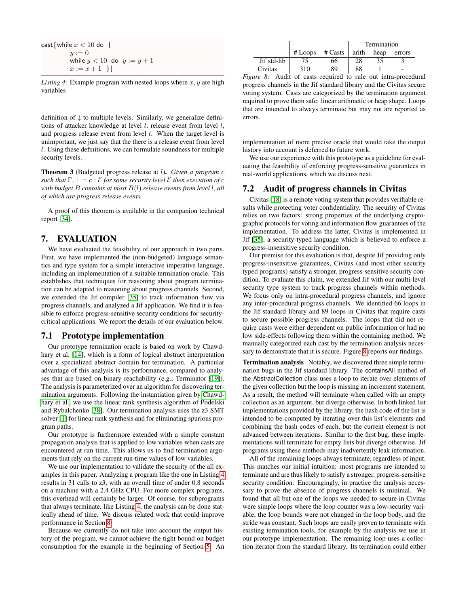```
cast [ while x < 10 do {
        y := 0while y < 10 do y := y + 1x := x + 1 }
```
*Listing 4:* Example program with nested loops where  $x, y$  are high variables

definition of ↓ to multiple levels. Similarly, we generalize definitions of attacker knowledge at level  $l$ , release event from level  $l$ , and progress release event from level  $l$ . When the target level is unimportant, we just say that the there is a release event from level l. Using these definitions, we can formulate soundness for multiple security levels.

Theorem 3 (Budgeted progress release at l). *Given a program* c *such that*  $\Gamma$ ,  $\bot \vdash c : l'$  for some security level l' then execution of c *with budget* B *contains at most* B(l) *release events from level* l*, all of which are progress release events.*

A proof of this theorem is available in the companion technical report [\[34\]](#page-11-8).

# <span id="page-8-0"></span>7. EVALUATION

We have evaluated the feasibility of our approach in two parts. First, we have implemented the (non-budgeted) language semantics and type system for a simple interactive imperative language, including an implementation of a suitable termination oracle. This establishes that techniques for reasoning about program termination can be adapted to reasoning about progress channels. Second, we extended the Jif compiler [\[35\]](#page-11-4) to track information flow via progress channels, and analyzed a Jif application. We find it is feasible to enforce progress-sensitive security conditions for securitycritical applications. We report the details of our evaluation below.

## 7.1 Prototype implementation

Our prototype termination oracle is based on work by Chawdhary et al. [\[14\]](#page-11-9), which is a form of logical abstract interpretation over a specialized abstract domain for termination. A particular advantage of this analysis is its performance, compared to analyses that are based on binary reachability (e.g., Terminator [\[19\]](#page-11-5)). The analysis is parameterized over an algorithm for discovering termination arguments. Following the instantiation given by [Chawd](#page-11-9)[hary et al.,](#page-11-9) we use the linear rank synthesis algorithm of Podelski and Rybalchenko [\[38\]](#page-12-11). Our termination analysis uses the z3 SMT solver [\[1\]](#page-10-4) for linear rank synthesis and for eliminating spurious program paths.

Our prototype is furthermore extended with a simple constant propagation analysis that is applied to low variables when casts are encountered at run time. This allows us to find termination arguments that rely on the current run-time values of low variables.

We use our implementation to validate the security of the all examples in this paper. Analyzing a program like the one in Listing [4](#page-8-1) results in 31 calls to z3, with an overall time of under 0.8 seconds on a machine with a 2.4 GHz CPU. For more complex programs, this overhead will certainly be larger. Of course, for subprograms that always terminate, like Listing [4,](#page-8-1) the analysis can be done statically ahead of time. We discuss related work that could improve performance in Section [8.](#page-9-1)

Because we currently do not take into account the output history of the program, we cannot achieve the tight bound on budget consumption for the example in the beginning of Section [5.](#page-4-1) An

<span id="page-8-2"></span>

|             |         |         | <b>Termination</b> |      |        |
|-------------|---------|---------|--------------------|------|--------|
|             | # Loops | # Casts | arith              | heap | errors |
| Jif std-lib |         |         |                    |      |        |
| Civitas     | 310     | 89      |                    |      |        |

*Figure 8:* Audit of casts required to rule out intra-procedural progress channels in the Jif standard library and the Civitas secure voting system. Casts are categorized by the termination argument required to prove them safe: linear arithmetic or heap shape. Loops that are intended to always terminate but may not are reported as errors.

implementation of more precise oracle that would take the output history into account is deferred to future work.

We use our experience with this prototype as a guideline for evaluating the feasibility of enforcing progress-sensitive guarantees in real-world applications, which we discuss next.

#### 7.2 Audit of progress channels in Civitas

Civitas [\[18\]](#page-11-10) is a remote voting system that provides verifiable results while protecting voter confidentiality. The security of Civitas relies on two factors: strong properties of the underlying cryptographic protocols for voting and information flow guarantees of the implementation. To address the latter, Civitas is implemented in Jif [\[35\]](#page-11-4), a security-typed language which is believed to enforce a progress-insensitive security condition.

Our premise for this evaluation is that, despite Jif providing only progress-insensitive guarantees, Civitas (and most other security typed programs) satisfy a stronger, progress-sensitive security condition. To evaluate this claim, we extended Jif with our multi-level security type system to track progress channels within methods. We focus only on intra-procedural progress channels, and ignore any inter-procedural progress channels. We identified 66 loops in the Jif standard library and 89 loops in Civitas that require casts to secure possible progress channels. The loops that did not require casts were either dependent on public information or had no low side-effects following them within the containing method. We manually categorized each cast by the termination analysis necessary to demonstrate that it is secure. Figure [8](#page-8-2) reports our findings.

Termination analysis Notably, we discovered three simple termination bugs in the Jif standard library. The containsAll method of the AbstractCollection class uses a loop to iterate over elements of the given collection but the loop is missing an increment statement. As a result, the method will terminate when called with an empty collection as an argument, but diverge otherwise. In both linked list implementations provided by the library, the hash code of the list is intended to be computed by iterating over this list's elements and combining the hash codes of each, but the current element is not advanced between iterations. Similar to the first bug, these implementations will terminate for empty lists but diverge otherwise. Jif programs using these methods may inadvertently leak information.

All of the remaining loops always terminate, regardless of input. This matches our initial intuition: most programs are intended to terminate and are thus likely to satisfy a stronger, progress-sensitive security condition. Encouragingly, in practice the analysis necessary to prove the absence of progress channels is minimal. We found that all but one of the loops we needed to secure in Civitas were simple loops where the loop counter was a low-security variable, the loop bounds were not changed in the loop body, and the stride was constant. Such loops are easily proven to terminate with existing termination tools, for example by the analysis we use in our prototype implementation. The remaining loop uses a collection iterator from the standard library. Its termination could either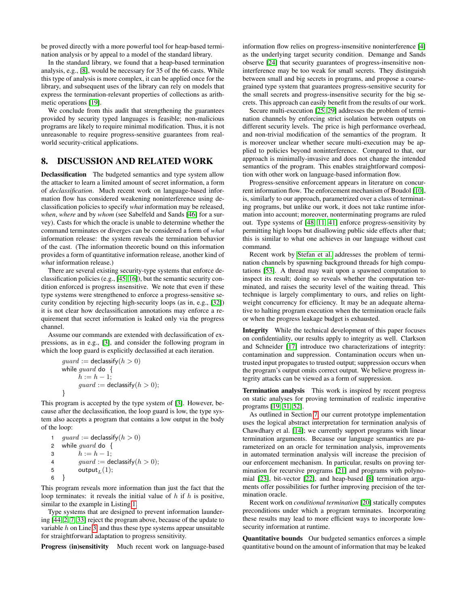be proved directly with a more powerful tool for heap-based termination analysis or by appeal to a model of the standard library.

In the standard library, we found that a heap-based termination analysis, e.g., [\[8\]](#page-10-5), would be necessary for 35 of the 66 casts. While this type of analysis is more complex, it can be applied once for the library, and subsequent uses of the library can rely on models that express the termination-relevant properties of collections as arithmetic operations [\[19\]](#page-11-5).

We conclude from this audit that strengthening the guarantees provided by security typed languages is feasible; non-malicious programs are likely to require minimal modification. Thus, it is not unreasonable to require progress-sensitive guarantees from realworld security-critical applications.

# <span id="page-9-0"></span>8. DISCUSSION AND RELATED WORK

Declassification The budgeted semantics and type system allow the attacker to learn a limited amount of secret information, a form of *declassification*. Much recent work on language-based information flow has considered weakening noninterference using declassification policies to specify *what* information may be released, *when*, *where* and by *whom* (see Sabelfeld and Sands [\[46\]](#page-12-12) for a survey). Casts for which the oracle is unable to determine whether the command terminates or diverges can be considered a form of *what* information release: the system reveals the termination behavior of the cast. (The information theoretic bound on this information provides a form of quantitative information release, another kind of *what* information release.)

There are several existing security-type systems that enforce declassification policies (e.g., [\[45,](#page-12-13) [16\]](#page-11-11)), but the semantic security condition enforced is progress insensitive. We note that even if these type systems were strengthened to enforce a progress-sensitive security condition by rejecting high-security loops (as in, e.g., [\[32\]](#page-11-12)) it is not clear how declassification annotations may enforce a requirement that secret information is leaked only via the progress channel.

Assume our commands are extended with declassification of expressions, as in e.g., [\[3\]](#page-10-3), and consider the following program in which the loop guard is explicitly declassified at each iteration.

$$
guard := \frac{declassify(h > 0)}{h := h - 1};
$$
\n
$$
guard := \frac{declassify(h > 0)}{h := \frac{declassify(h > 0)}{h}};
$$

This program is accepted by the type system of [\[3\]](#page-10-3). However, because after the declassification, the loop guard is low, the type system also accepts a program that contains a low output in the body of the loop:

```
1 guard := declassify (h > 0)2 while guard do {
3 h := h - 1;4 quad := declassify (h > 0);5 output<sub>L(1);</sub>
6 }
```
<span id="page-9-1"></span>This program reveals more information than just the fact that the loop terminates: it reveals the initial value of  $h$  if  $h$  is positive, similar to the example in Listing [1.](#page-0-0)

Type systems that are designed to prevent information laundering [\[44,](#page-12-14) [2,](#page-10-6) [7,](#page-10-7) [33\]](#page-11-13) reject the program above, because of the update to variable  $h$  on Line [3,](#page-9-2) and thus these type systems appear unsuitable for straightforward adaptation to progress sensitivity.

Progress (in)sensitivity Much recent work on language-based

information flow relies on progress-insensitive noninterference [\[4\]](#page-10-0) as the underlying target security condition. Demange and Sands observe [\[24\]](#page-11-14) that security guarantees of progress-insensitive noninterference may be too weak for small secrets. They distinguish between small and big secrets in programs, and propose a coarsegrained type system that guarantees progress-sensitive security for the small secrets and progress-insensitive security for the big secrets. This approach can easily benefit from the results of our work.

Secure multi-execution [\[25,](#page-11-15) [29\]](#page-11-16) addresses the problem of termination channels by enforcing strict isolation between outputs on different security levels. The price is high performance overhead, and non-trivial modification of the semantics of the program. It is moreover unclear whether secure multi-execution may be applied to policies beyond noninterference. Compared to that, our approach is minimally-invasive and does not change the intended semantics of the program. This enables straightforward composition with other work on language-based information flow.

Progress-sensitive enforcement appears in literature on concurrent information flow. The enforcement mechanism of Boudol [\[10\]](#page-11-17), is, similarly to our approach, parametrized over a class of terminating programs, but unlike our work, it does not take runtime information into account; moreover, nonterminating programs are ruled out. Type systems of [\[48,](#page-12-15) [11,](#page-11-18) [41\]](#page-12-16) enforce progress-sensitivity by permitting high loops but disallowing public side effects after that; this is similar to what one achieves in our language without cast command.

Recent work by [Stefan et al.](#page-12-17) addresses the problem of termination channels by spawning background threads for high computations [\[53\]](#page-12-17). A thread may wait upon a spawned computation to inspect its result; doing so reveals whether the computation terminated, and raises the security level of the waiting thread. This technique is largely complimentary to ours, and relies on lightweight concurrency for efficiency. It may be an adequate alternative to halting program execution when the termination oracle fails or when the progress leakage budget is exhausted.

Integrity While the technical development of this paper focuses on confidentiality, our results apply to integrity as well. Clarkson and Schneider [\[17\]](#page-11-19) introduce two characterizations of integrity: contamination and suppression. Contamination occurs when untrusted input propagates to trusted output; suppression occurs when the program's output omits correct output. We believe progress integrity attacks can be viewed as a form of suppression.

Termination analysis This work is inspired by recent progress on static analyses for proving termination of realistic imperative programs [\[19,](#page-11-5) [31,](#page-11-6) [52\]](#page-12-9).

As outlined in Section [7,](#page-8-0) our current prototype implementation uses the logical abstract interpretation for termination analysis of Chawdhary et al. [\[14\]](#page-11-9); we currently support programs with linear termination arguments. Because our language semantics are parameterized on an oracle for termination analysis, improvements in automated termination analysis will increase the precision of our enforcement mechanism. In particular, results on proving termination for recursive programs [\[21\]](#page-11-20) and programs with polynomial [\[23\]](#page-11-21), bit-vector [\[22\]](#page-11-22), and heap-based [\[8\]](#page-10-5) termination arguments offer possibilities for further improving precision of the termination oracle.

Recent work on *conditional termination* [\[20\]](#page-11-7) statically computes preconditions under which a program terminates. Incorporating these results may lead to more efficient ways to incorporate lowsecurity information at runtime.

Quantitative bounds Our budgeted semantics enforces a simple quantitative bound on the amount of information that may be leaked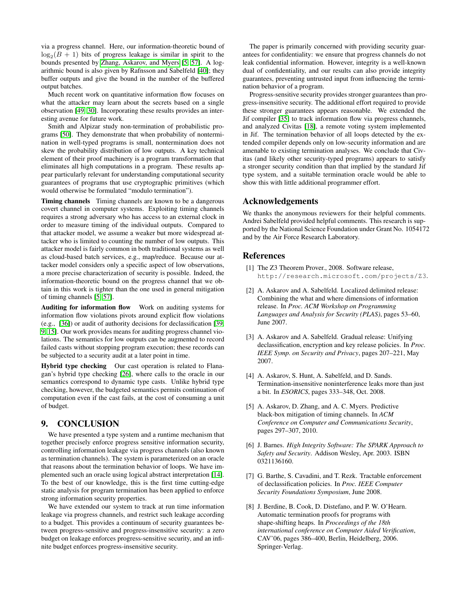via a progress channel. Here, our information-theoretic bound of  $log_2(B + 1)$  bits of progress leakage is similar in spirit to the bounds presented by [Zhang, Askarov, and Myers](#page-12-18) [\[5,](#page-10-8) [57\]](#page-12-18). A logarithmic bound is also given by Rafnsson and Sabelfeld [\[40\]](#page-12-19); they buffer outputs and give the bound in the number of the buffered output batches.

Much recent work on quantitative information flow focuses on what the attacker may learn about the secrets based on a single observation [\[49,](#page-12-10) [30\]](#page-11-23). Incorporating these results provides an interesting avenue for future work.

Smith and Alpizar study non-termination of probabilistic programs [\[50\]](#page-12-20). They demonstrate that when probability of nontermination in well-typed programs is small, nontermination does not skew the probability distribution of low outputs. A key technical element of their proof machinery is a program transformation that eliminates all high computations in a program. These results appear particularly relevant for understanding computational security guarantees of programs that use cryptographic primitives (which would otherwise be formulated "modulo termination").

Timing channels Timing channels are known to be a dangerous covert channel in computer systems. Exploiting timing channels requires a strong adversary who has access to an external clock in order to measure timing of the individual outputs. Compared to that attacker model, we assume a weaker but more widespread attacker who is limited to counting the number of low outputs. This attacker model is fairly common in both traditional systems as well as cloud-based batch services, e.g., map/reduce. Because our attacker model considers only a specific aspect of low observations, a more precise characterization of security is possible. Indeed, the information-theoretic bound on the progress channel that we obtain in this work is tighter than the one used in general mitigation of timing channels [\[5,](#page-10-8) [57\]](#page-12-18).

Auditing for information flow Work on auditing systems for information flow violations pivots around explicit flow violations (e.g., [\[36\]](#page-12-21)) or audit of authority decisions for declassification [\[39,](#page-12-22) [9,](#page-11-24) [15\]](#page-11-25). Our work provides means for auditing progress channel violations. The semantics for low outputs can be augmented to record failed casts without stopping program execution; these records can be subjected to a security audit at a later point in time.

Hybrid type checking Our cast operation is related to Flanagan's hybrid type checking [\[26\]](#page-11-26), where calls to the oracle in our semantics correspond to dynamic type casts. Unlike hybrid type checking, however, the budgeted semantics permits continuation of computation even if the cast fails, at the cost of consuming a unit of budget.

# <span id="page-10-2"></span>9. CONCLUSION

We have presented a type system and a runtime mechanism that together precisely enforce progress sensitive information security, controlling information leakage via progress channels (also known as termination channels). The system is parameterized on an oracle that reasons about the termination behavior of loops. We have implemented such an oracle using logical abstract interpretation [\[14\]](#page-11-9). To the best of our knowledge, this is the first time cutting-edge static analysis for program termination has been applied to enforce strong information security properties.

We have extended our system to track at run time information leakage via progress channels, and restrict such leakage according to a budget. This provides a continuum of security guarantees between progress-sensitive and progress-insensitive security: a zero budget on leakage enforces progress-sensitive security, and an infinite budget enforces progress-insensitive security.

The paper is primarily concerned with providing security guarantees for confidentiality: we ensure that progress channels do not leak confidential information. However, integrity is a well-known dual of confidentiality, and our results can also provide integrity guarantees, preventing untrusted input from influencing the termination behavior of a program.

Progress-sensitive security provides stronger guarantees than progress-insensitive security. The additional effort required to provide these stronger guarantees appears reasonable. We extended the Jif compiler [\[35\]](#page-11-4) to track information flow via progress channels, and analyzed Civitas [\[18\]](#page-11-10), a remote voting system implemented in Jif. The termination behavior of all loops detected by the extended compiler depends only on low-security information and are amenable to existing termination analyses. We conclude that Civitas (and likely other security-typed programs) appears to satisfy a stronger security condition than that implied by the standard Jif type system, and a suitable termination oracle would be able to show this with little additional programmer effort.

# Acknowledgements

We thanks the anonymous reviewers for their helpful comments. Andrei Sabelfeld provided helpful comments. This research is supported by the National Science Foundation under Grant No. 1054172 and by the Air Force Research Laboratory.

# References

- <span id="page-10-4"></span>[1] The Z3 Theorem Prover., 2008. Software release, http://research.microsoft.com/projects/Z3.
- <span id="page-10-6"></span>[2] A. Askarov and A. Sabelfeld. Localized delimited release: Combining the what and where dimensions of information release. In *Proc. ACM Workshop on Programming Languages and Analysis for Security (PLAS)*, pages 53–60, June 2007.
- <span id="page-10-3"></span>[3] A. Askarov and A. Sabelfeld. Gradual release: Unifying declassification, encryption and key release policies. In *Proc. IEEE Symp. on Security and Privacy*, pages 207–221, May 2007.
- <span id="page-10-0"></span>[4] A. Askarov, S. Hunt, A. Sabelfeld, and D. Sands. Termination-insensitive noninterference leaks more than just a bit. In *ESORICS*, pages 333–348, Oct. 2008.
- <span id="page-10-8"></span>[5] A. Askarov, D. Zhang, and A. C. Myers. Predictive black-box mitigation of timing channels. In *ACM Conference on Computer and Communications Security*, pages 297–307, 2010.
- <span id="page-10-1"></span>[6] J. Barnes. *High Integrity Software: The SPARK Approach to Safety and Security*. Addison Wesley, Apr. 2003. ISBN 0321136160.
- <span id="page-10-7"></span>[7] G. Barthe, S. Cavadini, and T. Rezk. Tractable enforcement of declassification policies. In *Proc. IEEE Computer Security Foundations Symposium*, June 2008.
- <span id="page-10-5"></span>[8] J. Berdine, B. Cook, D. Distefano, and P. W. O'Hearn. Automatic termination proofs for programs with shape-shifting heaps. In *Proceedings of the 18th international conference on Computer Aided Verification*, CAV'06, pages 386–400, Berlin, Heidelberg, 2006. Springer-Verlag.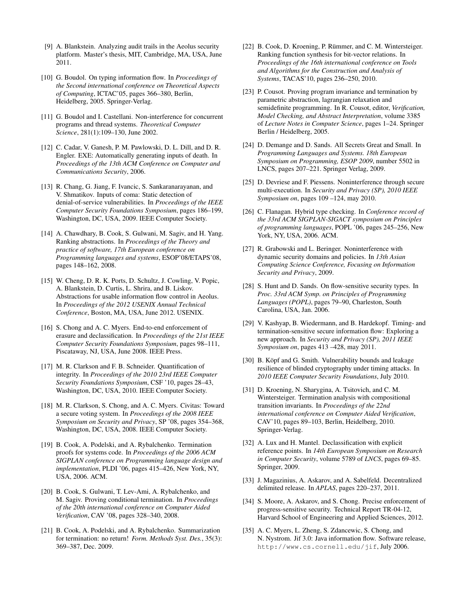- <span id="page-11-24"></span>[9] A. Blankstein. Analyzing audit trails in the Aeolus security platform. Master's thesis, MIT, Cambridge, MA, USA, June 2011.
- <span id="page-11-17"></span>[10] G. Boudol. On typing information flow. In *Proceedings of the Second international conference on Theoretical Aspects of Computing*, ICTAC'05, pages 366–380, Berlin, Heidelberg, 2005. Springer-Verlag.
- <span id="page-11-18"></span>[11] G. Boudol and I. Castellani. Non-interference for concurrent programs and thread systems. *Theoretical Computer Science*, 281(1):109–130, June 2002.
- <span id="page-11-0"></span>[12] C. Cadar, V. Ganesh, P. M. Pawlowski, D. L. Dill, and D. R. Engler. EXE: Automatically generating inputs of death. In *Proceedings of the 13th ACM Conference on Computer and Communications Security*, 2006.
- <span id="page-11-1"></span>[13] R. Chang, G. Jiang, F. Ivancic, S. Sankaranarayanan, and V. Shmatikov. Inputs of coma: Static detection of denial-of-service vulnerabilities. In *Proceedings of the IEEE Computer Security Foundations Symposium*, pages 186–199, Washington, DC, USA, 2009. IEEE Computer Society.
- <span id="page-11-9"></span>[14] A. Chawdhary, B. Cook, S. Gulwani, M. Sagiv, and H. Yang. Ranking abstractions. In *Proceedings of the Theory and practice of software, 17th European conference on Programming languages and systems*, ESOP'08/ETAPS'08, pages 148–162, 2008.
- <span id="page-11-25"></span>[15] W. Cheng, D. R. K. Ports, D. Schultz, J. Cowling, V. Popic, A. Blankstein, D. Curtis, L. Shrira, and B. Liskov. Abstractions for usable information flow control in Aeolus. In *Proceedings of the 2012 USENIX Annual Technical Conference*, Boston, MA, USA, June 2012. USENIX.
- <span id="page-11-11"></span>[16] S. Chong and A. C. Myers. End-to-end enforcement of erasure and declassification. In *Proceedings of the 21st IEEE Computer Security Foundations Symposium*, pages 98–111, Piscataway, NJ, USA, June 2008. IEEE Press.
- <span id="page-11-19"></span>[17] M. R. Clarkson and F. B. Schneider. Quantification of integrity. In *Proceedings of the 2010 23rd IEEE Computer Security Foundations Symposium*, CSF '10, pages 28–43, Washington, DC, USA, 2010. IEEE Computer Society.
- <span id="page-11-10"></span>[18] M. R. Clarkson, S. Chong, and A. C. Myers. Civitas: Toward a secure voting system. In *Proceedings of the 2008 IEEE Symposium on Security and Privacy*, SP '08, pages 354–368, Washington, DC, USA, 2008. IEEE Computer Society.
- <span id="page-11-5"></span>[19] B. Cook, A. Podelski, and A. Rybalchenko. Termination proofs for systems code. In *Proceedings of the 2006 ACM SIGPLAN conference on Programming language design and implementation*, PLDI '06, pages 415–426, New York, NY, USA, 2006. ACM.
- <span id="page-11-7"></span>[20] B. Cook, S. Gulwani, T. Lev-Ami, A. Rybalchenko, and M. Sagiv. Proving conditional termination. In *Proceedings of the 20th international conference on Computer Aided Verification*, CAV '08, pages 328–340, 2008.
- <span id="page-11-20"></span>[21] B. Cook, A. Podelski, and A. Rybalchenko. Summarization for termination: no return! *Form. Methods Syst. Des.*, 35(3): 369–387, Dec. 2009.
- <span id="page-11-22"></span>[22] B. Cook, D. Kroening, P. Rümmer, and C. M. Wintersteiger. Ranking function synthesis for bit-vector relations. In *Proceedings of the 16th international conference on Tools and Algorithms for the Construction and Analysis of Systems*, TACAS'10, pages 236–250, 2010.
- <span id="page-11-21"></span>[23] P. Cousot. Proving program invariance and termination by parametric abstraction, lagrangian relaxation and semidefinite programming. In R. Cousot, editor, *Verification, Model Checking, and Abstract Interpretation*, volume 3385 of *Lecture Notes in Computer Science*, pages 1–24. Springer Berlin / Heidelberg, 2005.
- <span id="page-11-14"></span>[24] D. Demange and D. Sands. All Secrets Great and Small. In *Programming Languages and Systems. 18th European Symposium on Programming, ESOP 2009*, number 5502 in LNCS, pages 207–221. Springer Verlag, 2009.
- <span id="page-11-15"></span>[25] D. Devriese and F. Piessens. Noninterference through secure multi-execution. In *Security and Privacy (SP), 2010 IEEE Symposium on*, pages 109 –124, may 2010.
- <span id="page-11-26"></span>[26] C. Flanagan. Hybrid type checking. In *Conference record of the 33rd ACM SIGPLAN-SIGACT symposium on Principles of programming languages*, POPL '06, pages 245–256, New York, NY, USA, 2006. ACM.
- <span id="page-11-3"></span>[27] R. Grabowski and L. Beringer. Noninterference with dynamic security domains and policies. In *13th Asian Computing Science Conference, Focusing on Information Security and Privacy*, 2009.
- <span id="page-11-2"></span>[28] S. Hunt and D. Sands. On flow-sensitive security types. In *Proc. 33rd ACM Symp. on Principles of Programming Languages (POPL)*, pages 79–90, Charleston, South Carolina, USA, Jan. 2006.
- <span id="page-11-16"></span>[29] V. Kashyap, B. Wiedermann, and B. Hardekopf. Timing- and termination-sensitive secure information flow: Exploring a new approach. In *Security and Privacy (SP), 2011 IEEE Symposium on*, pages 413 –428, may 2011.
- <span id="page-11-23"></span>[30] B. Köpf and G. Smith. Vulnerability bounds and leakage resilience of blinded cryptography under timing attacks. In *2010 IEEE Computer Security Foundations*, July 2010.
- <span id="page-11-6"></span>[31] D. Kroening, N. Sharygina, A. Tsitovich, and C. M. Wintersteiger. Termination analysis with compositional transition invariants. In *Proceedings of the 22nd international conference on Computer Aided Verification*, CAV'10, pages 89–103, Berlin, Heidelberg, 2010. Springer-Verlag.
- <span id="page-11-12"></span>[32] A. Lux and H. Mantel. Declassification with explicit reference points. In *14th European Symposium on Research in Computer Security*, volume 5789 of *LNCS*, pages 69–85. Springer, 2009.
- <span id="page-11-13"></span>[33] J. Magazinius, A. Askarov, and A. Sabelfeld. Decentralized delimited release. In *APLAS*, pages 220–237, 2011.
- <span id="page-11-8"></span>[34] S. Moore, A. Askarov, and S. Chong. Precise enforcement of progress-sensitive security. Technical Report TR-04-12, Harvard School of Engineering and Applied Sciences, 2012.
- <span id="page-11-4"></span>[35] A. C. Myers, L. Zheng, S. Zdancewic, S. Chong, and N. Nystrom. Jif 3.0: Java information flow. Software release, http://www.cs.cornell.edu/jif, July 2006.